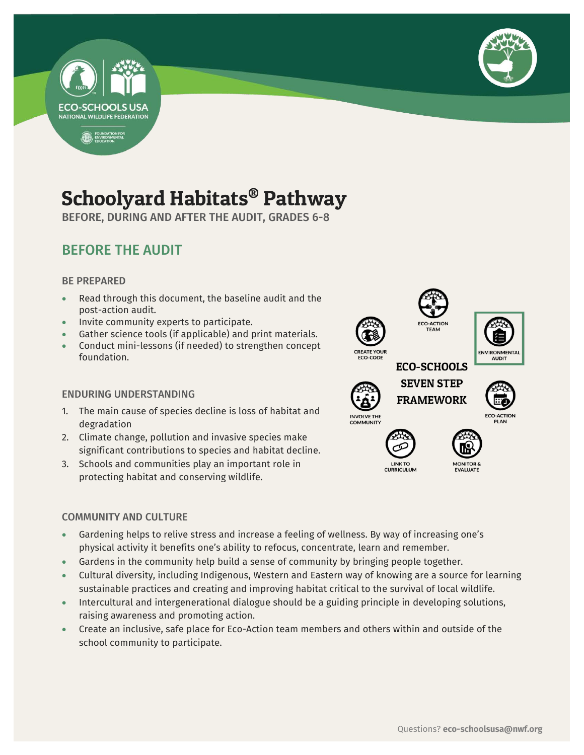



## Schoolyard Habitats® Pathway

BEFORE, DURING AND AFTER THE AUDIT, GRADES 6-8

### BEFORE THE AUDIT

#### BE PREPARED

- Read through this document, the baseline audit and the post-action audit.
- Invite community experts to participate.
- Gather science tools (if applicable) and print materials.
- Conduct mini-lessons (if needed) to strengthen concept foundation.

#### ENDURING UNDERSTANDING

- 1. The main cause of species decline is loss of habitat and degradation
- 2. Climate change, pollution and invasive species make significant contributions to species and habitat decline.
- 3. Schools and communities play an important role in protecting habitat and conserving wildlife.

#### COMMUNITY AND CULTURE

- Gardening helps to relive stress and increase a feeling of wellness. By way of increasing one's physical activity it benefits one's ability to refocus, concentrate, learn and remember.
- Gardens in the community help build a sense of community by bringing people together.
- Cultural diversity, including Indigenous, Western and Eastern way of knowing are a source for learning sustainable practices and creating and improving habitat critical to the survival of local wildlife.
- Intercultural and intergenerational dialogue should be a guiding principle in developing solutions, raising awareness and promoting action.
- Create an inclusive, safe place for Eco-Action team members and others within and outside of the school community to participate.

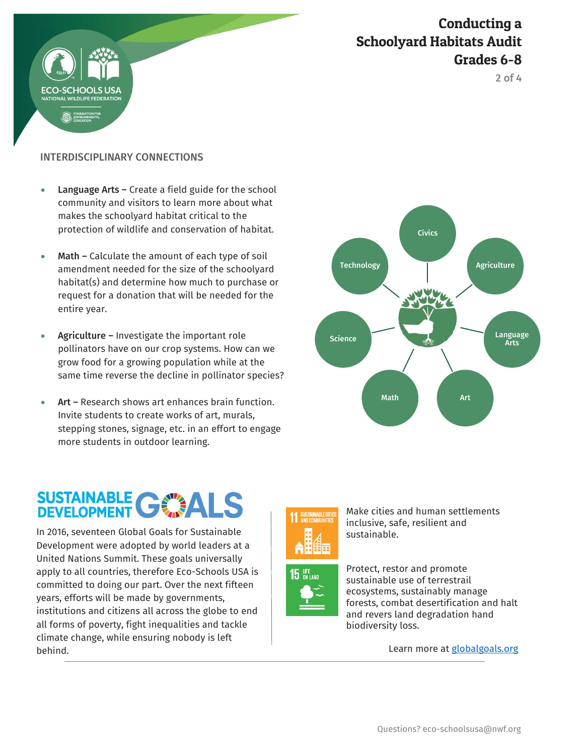

Conducting a Schoolyard Habitats Audit Grades 6-8

2 of 4

#### INTERDISCIPLINARY CONNECTIONS

- Language Arts Create a field guide for the school community and visitors to learn more about what makes the schoolyard habitat critical to the protection of wildlife and conservation of habitat.
- Math Calculate the amount of each type of soil amendment needed for the size of the schoolyard habitat(s) and determine how much to purchase or request for a donation that will be needed for the entire year.
- Agriculture Investigate the important role pollinators have on our crop systems. How can we grow food for a growing population while at the same time reverse the decline in pollinator species?
- Art Research shows art enhances brain function. Invite students to create works of art, murals, stepping stones, signage, etc. in an effort to engage more students in outdoor learning.

# SUSTAINABLE GWALS

 In 2016, seventeen Global Goals for Sustainable Development were adopted by world leaders at a United Nations Summit. These goals universally apply to all countries, therefore Eco-Schools USA is committed to doing our part. Over the next fifteen years, efforts will be made by governments, institutions and citizens all across the globe to end all forms of poverty, fight inequalities and tackle climate change, while ensuring nobody is left behind.





Make cities and human settlements inclusive, safe, resilient and sustainable.



Protect, restor and promote sustainable use of terrestrail ecosystems, sustainably manage forests, combat desertification and halt and revers land degradation hand biodiversity loss.

Learn more at [globalgoals.org](https://www.globalgoals.org/)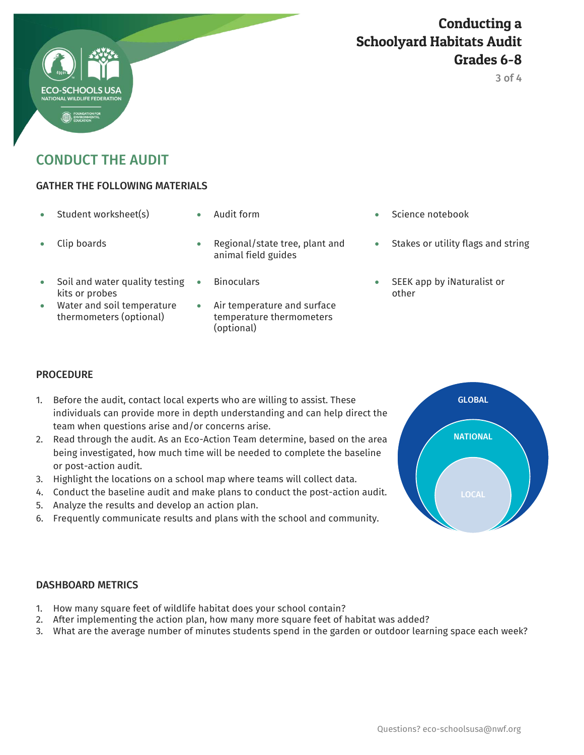#### Conducting a Schoolyard Habitats Audit Grades 6-8

3 of 4



#### GATHER THE FOLLOWING MATERIALS

- 
- 

- 
- Soil and water quality testing kits or probes
- Water and soil temperature thermometers (optional)
- Clip boards **Regional/state tree, plant and** animal field guides
	-
	- Air temperature and surface temperature thermometers (optional)
- Student worksheet(s)  $\bullet$  Audit form  $\bullet$  Science notebook
	- Stakes or utility flags and string
	- Binoculars SEEK app by iNaturalist or other

#### **PROCEDURE**

- 1. Before the audit, contact local experts who are willing to assist. These individuals can provide more in depth understanding and can help direct the team when questions arise and/or concerns arise.
- 2. Read through the audit. As an Eco-Action Team determine, based on the area being investigated, how much time will be needed to complete the baseline or post-action audit.
- 3. Highlight the locations on a school map where teams will collect data.
- 4. Conduct the baseline audit and make plans to conduct the post-action audit.
- 5. Analyze the results and develop an action plan.
- 6. Frequently communicate results and plans with the school and community.



#### DASHBOARD METRICS

- 1. How many square feet of wildlife habitat does your school contain?
- 2. After implementing the action plan, how many more square feet of habitat was added?
- 3. What are the average number of minutes students spend in the garden or outdoor learning space each week?